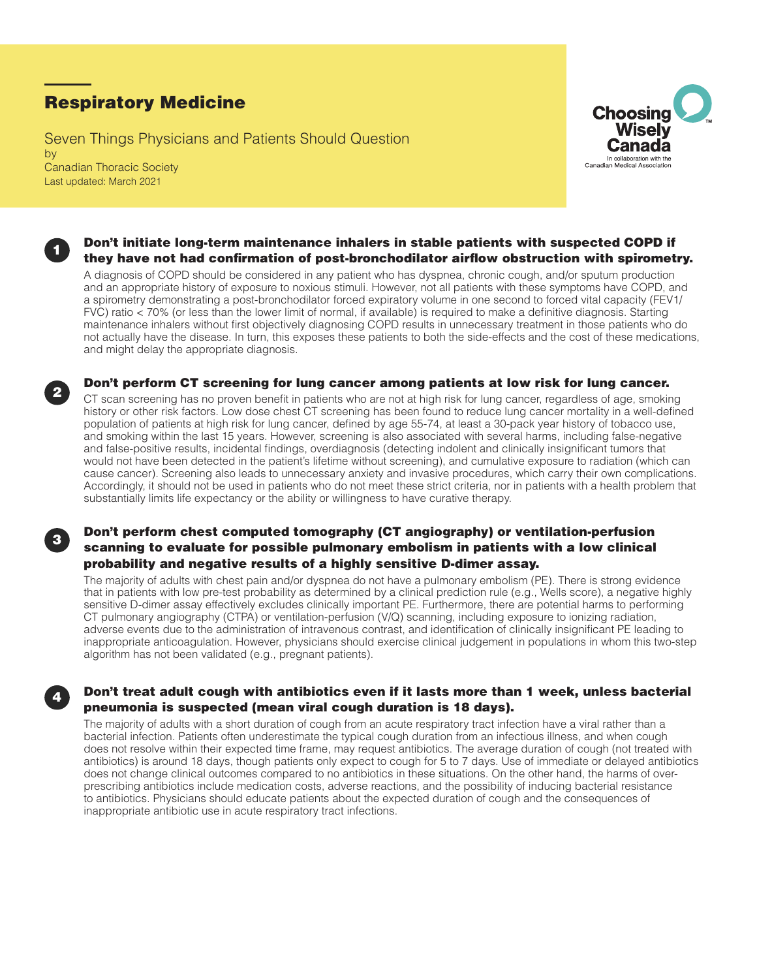# Respiratory Medicine

1

2

3

4

Seven Things Physicians and Patients Should Question by Canadian Thoracic Society Last updated: March 2021



# Don't initiate long-term maintenance inhalers in stable patients with suspected COPD if they have not had confirmation of post-bronchodilator airflow obstruction with spirometry.

A diagnosis of COPD should be considered in any patient who has dyspnea, chronic cough, and/or sputum production and an appropriate history of exposure to noxious stimuli. However, not all patients with these symptoms have COPD, and a spirometry demonstrating a post-bronchodilator forced expiratory volume in one second to forced vital capacity (FEV1/ FVC) ratio < 70% (or less than the lower limit of normal, if available) is required to make a definitive diagnosis. Starting maintenance inhalers without first objectively diagnosing COPD results in unnecessary treatment in those patients who do not actually have the disease. In turn, this exposes these patients to both the side-effects and the cost of these medications, and might delay the appropriate diagnosis.



CT scan screening has no proven benefit in patients who are not at high risk for lung cancer, regardless of age, smoking history or other risk factors. Low dose chest CT screening has been found to reduce lung cancer mortality in a well-defined population of patients at high risk for lung cancer, defined by age 55-74, at least a 30-pack year history of tobacco use, and smoking within the last 15 years. However, screening is also associated with several harms, including false-negative and false-positive results, incidental findings, overdiagnosis (detecting indolent and clinically insignificant tumors that would not have been detected in the patient's lifetime without screening), and cumulative exposure to radiation (which can cause cancer). Screening also leads to unnecessary anxiety and invasive procedures, which carry their own complications. Accordingly, it should not be used in patients who do not meet these strict criteria, nor in patients with a health problem that substantially limits life expectancy or the ability or willingness to have curative therapy.

# Don't perform chest computed tomography (CT angiography) or ventilation-perfusion scanning to evaluate for possible pulmonary embolism in patients with a low clinical probability and negative results of a highly sensitive D-dimer assay.

The majority of adults with chest pain and/or dyspnea do not have a pulmonary embolism (PE). There is strong evidence that in patients with low pre-test probability as determined by a clinical prediction rule (e.g., Wells score), a negative highly sensitive D-dimer assay effectively excludes clinically important PE. Furthermore, there are potential harms to performing CT pulmonary angiography (CTPA) or ventilation-perfusion (V/Q) scanning, including exposure to ionizing radiation, adverse events due to the administration of intravenous contrast, and identification of clinically insignificant PE leading to inappropriate anticoagulation. However, physicians should exercise clinical judgement in populations in whom this two-step algorithm has not been validated (e.g., pregnant patients).

# Don't treat adult cough with antibiotics even if it lasts more than 1 week, unless bacterial pneumonia is suspected (mean viral cough duration is 18 days).

The majority of adults with a short duration of cough from an acute respiratory tract infection have a viral rather than a bacterial infection. Patients often underestimate the typical cough duration from an infectious illness, and when cough does not resolve within their expected time frame, may request antibiotics. The average duration of cough (not treated with antibiotics) is around 18 days, though patients only expect to cough for 5 to 7 days. Use of immediate or delayed antibiotics does not change clinical outcomes compared to no antibiotics in these situations. On the other hand, the harms of overprescribing antibiotics include medication costs, adverse reactions, and the possibility of inducing bacterial resistance to antibiotics. Physicians should educate patients about the expected duration of cough and the consequences of inappropriate antibiotic use in acute respiratory tract infections.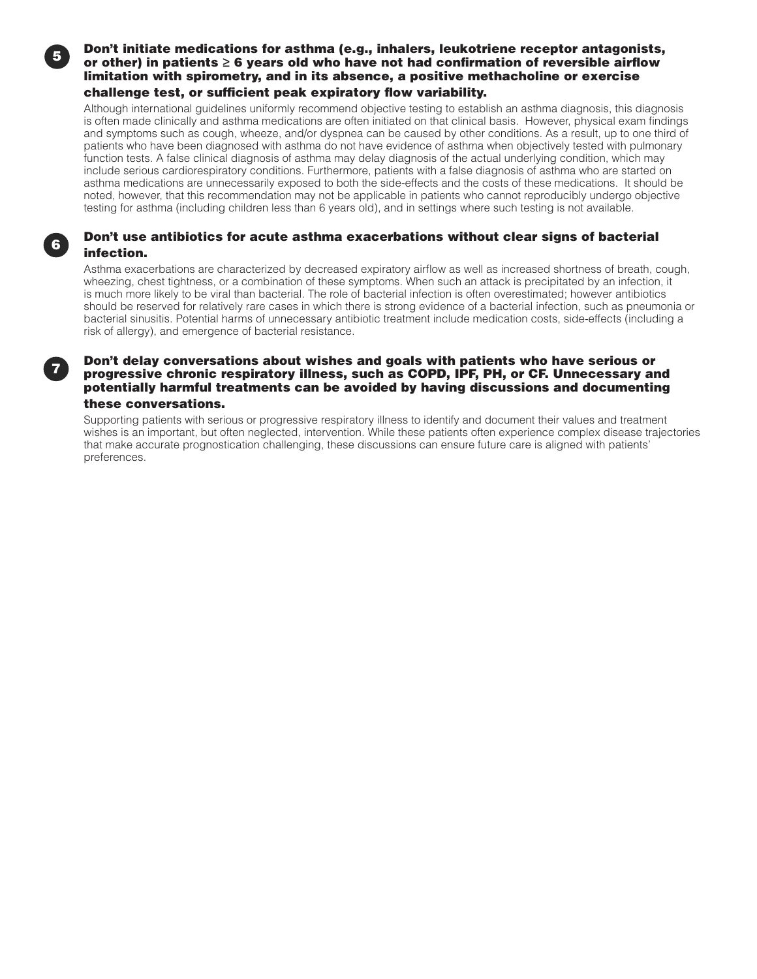<sup>5</sup> Don't initiate medications for asthma (e.g., inhalers, leukotriene receptor antagonists, or other) in patients ≥ 6 years old who have not had confirmation of reversible airflow limitation with spirometry, and in its absence, a positive methacholine or exercise challenge test, or sufficient peak expiratory flow variability.

Although international guidelines uniformly recommend objective testing to establish an asthma diagnosis, this diagnosis is often made clinically and asthma medications are often initiated on that clinical basis. However, physical exam findings and symptoms such as cough, wheeze, and/or dyspnea can be caused by other conditions. As a result, up to one third of patients who have been diagnosed with asthma do not have evidence of asthma when objectively tested with pulmonary function tests. A false clinical diagnosis of asthma may delay diagnosis of the actual underlying condition, which may include serious cardiorespiratory conditions. Furthermore, patients with a false diagnosis of asthma who are started on asthma medications are unnecessarily exposed to both the side-effects and the costs of these medications. It should be noted, however, that this recommendation may not be applicable in patients who cannot reproducibly undergo objective testing for asthma (including children less than 6 years old), and in settings where such testing is not available.

# Don't use antibiotics for acute asthma exacerbations without clear signs of bacterial infection.

Asthma exacerbations are characterized by decreased expiratory airflow as well as increased shortness of breath, cough, wheezing, chest tightness, or a combination of these symptoms. When such an attack is precipitated by an infection, it is much more likely to be viral than bacterial. The role of bacterial infection is often overestimated; however antibiotics should be reserved for relatively rare cases in which there is strong evidence of a bacterial infection, such as pneumonia or bacterial sinusitis. Potential harms of unnecessary antibiotic treatment include medication costs, side-effects (including a risk of allergy), and emergence of bacterial resistance.

6

#### Don't delay conversations about wishes and goals with patients who have serious or progressive chronic respiratory illness, such as COPD, IPF, PH, or CF. Unnecessary and potentially harmful treatments can be avoided by having discussions and documenting these conversations.

Supporting patients with serious or progressive respiratory illness to identify and document their values and treatment wishes is an important, but often neglected, intervention. While these patients often experience complex disease trajectories that make accurate prognostication challenging, these discussions can ensure future care is aligned with patients' preferences.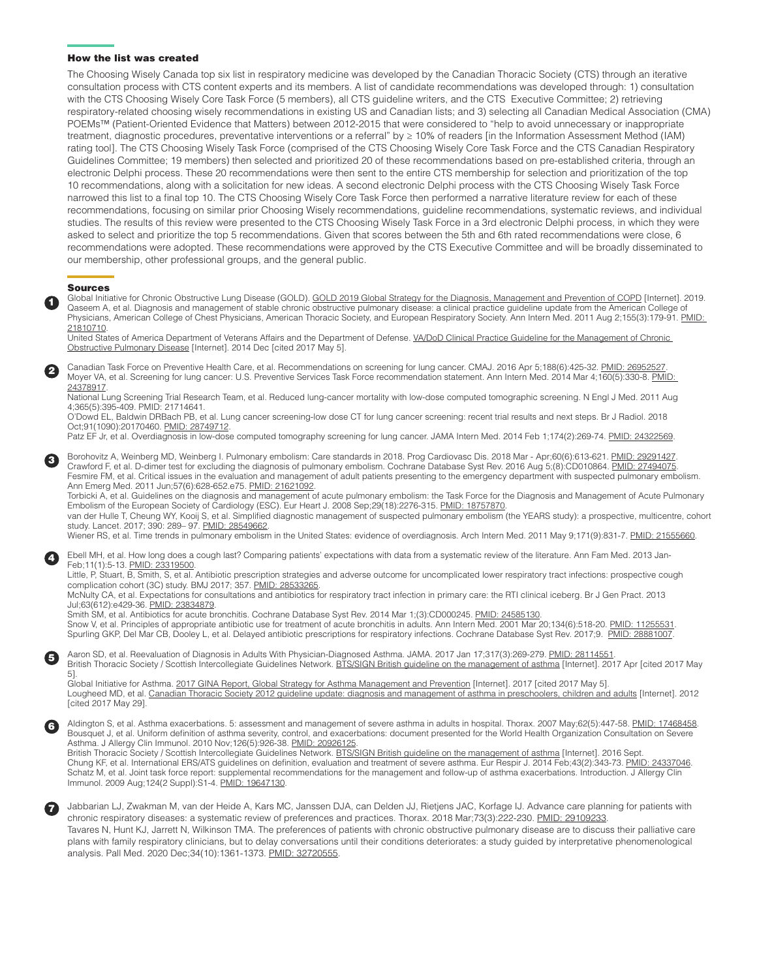#### How the list was created

The Choosing Wisely Canada top six list in respiratory medicine was developed by the Canadian Thoracic Society (CTS) through an iterative consultation process with CTS content experts and its members. A list of candidate recommendations was developed through: 1) consultation with the CTS Choosing Wisely Core Task Force (5 members), all CTS guideline writers, and the CTS Executive Committee; 2) retrieving respiratory-related choosing wisely recommendations in existing US and Canadian lists; and 3) selecting all Canadian Medical Association (CMA) POEMs™ (Patient-Oriented Evidence that Matters) between 2012-2015 that were considered to "help to avoid unnecessary or inappropriate treatment, diagnostic procedures, preventative interventions or a referral" by ≥ 10% of readers [in the Information Assessment Method (IAM) rating tool]. The CTS Choosing Wisely Task Force (comprised of the CTS Choosing Wisely Core Task Force and the CTS Canadian Respiratory Guidelines Committee; 19 members) then selected and prioritized 20 of these recommendations based on pre-established criteria, through an electronic Delphi process. These 20 recommendations were then sent to the entire CTS membership for selection and prioritization of the top 10 recommendations, along with a solicitation for new ideas. A second electronic Delphi process with the CTS Choosing Wisely Task Force narrowed this list to a final top 10. The CTS Choosing Wisely Core Task Force then performed a narrative literature review for each of these recommendations, focusing on similar prior Choosing Wisely recommendations, guideline recommendations, systematic reviews, and individual studies. The results of this review were presented to the CTS Choosing Wisely Task Force in a 3rd electronic Delphi process, in which they were asked to select and prioritize the top 5 recommendations. Given that scores between the 5th and 6th rated recommendations were close, 6 recommendations were adopted. These recommendations were approved by the CTS Executive Committee and will be broadly disseminated to our membership, other professional groups, and the general public.

#### Sources

1

2

3

Global Initiative for Chronic Obstructive Lung Disease (GOLD). [GOLD 2019 Global Strategy for the Diagnosis, Management and Prevention of COPD](http://goldcopd.org/gold-2017-global-strategy-diagnosis-management-prevention-copd/) [Internet]. 2019. Qaseem A, et al. Diagnosis and management of stable chronic obstructive pulmonary disease: a clinical practice guideline update from the American College of Physicians, American College of Chest Physicians, American Thoracic Society, and European Respiratory Society. Ann Intern Med. 2011 Aug 2;155(3):179-91. PMID: [21810710.](https://www.ncbi.nlm.nih.gov/pubmed/21810710)

United States of America Department of Veterans Affairs and the Department of Defense. VA/DoD Clinical Practice Guideline for the Management of Chronic [Obstructive Pulmonary Disease](https://www.healthquality.va.gov/guidelines/CD/copd/VADoDCOPDCPG2014.pdf) [Internet]. 2014 Dec [cited 2017 May 5].

Canadian Task Force on Preventive Health Care, et al. Recommendations on screening for lung cancer. CMAJ. 2016 Apr 5;188(6):425-32. PMID: 26952527 Moyer VA, et al. Screening for lung cancer: U.S. Preventive Services Task Force recommendation statement. Ann Intern Med. 2014 Mar 4;160(5):330-8. PMID: [24378917.](https://www.ncbi.nlm.nih.gov/pubmed/24378917)

National Lung Screening Trial Research Team, et al. Reduced lung-cancer mortality with low-dose computed tomographic screening. N Engl J Med. 2011 Aug 4;365(5):395-409. [PMID: 21714641](https://www.ncbi.nlm.nih.gov/pubmed/21714641).

O'Dowd EL, Baldwin DRBach PB, et al. Lung cancer screening-low dose CT for lung cancer screening: recent trial results and next steps. Br J Radiol. 2018 Oct;91(1090):20170460. [PMID: 28749712.](https://www.ncbi.nlm.nih.gov/pubmed/28749712%20)

Patz EF Jr, et al. Overdiagnosis in low-dose computed tomography screening for lung cancer. JAMA Intern Med. 2014 Feb 1;174(2):269-74. [PMID: 24322569.](https://www.ncbi.nlm.nih.gov/pubmed/24322569)

Borohovitz A, Weinberg MD, Weinberg I. Pulmonary embolism: Care standards in 2018. Prog Cardiovasc Dis. 2018 Mar - Apr;60(6):613-621. [PMID: 29291427.](https://www.ncbi.nlm.nih.gov/pubmed/29291427) Crawford F, et al. D-dimer test for excluding the diagnosis of pulmonary embolism. Cochrane Database Syst Rev. 2016 Aug 5;(8):CD010864. [PMID: 27494075](https://www.ncbi.nlm.nih.gov/pubmed/27494075). Fesmire FM, et al. Critical issues in the evaluation and management of adult patients presenting to the emergency department with suspected pulmonary embolism. Ann Emerg Med. 2011 Jun;57(6):628-652.e75. [PMID: 21621092.](https://www.ncbi.nlm.nih.gov/pubmed/21621092)

Torbicki A, et al. Guidelines on the diagnosis and management of acute pulmonary embolism: the Task Force for the Diagnosis and Management of Acute Pulmonary Embolism of the European Society of Cardiology (ESC). Eur Heart J. 2008 Sep;29(18):2276-315. [PMID: 18757870](https://www.ncbi.nlm.nih.gov/pubmed/18757870).

van der Hulle T, Cheung WY, Kooij S, et al. Simplified diagnostic management of suspected pulmonary embolism (the YEARS study): a prospective, multicentre, cohort study. Lancet. 2017; 390: 289– 97. [PMID: 28549662](https://www.ncbi.nlm.nih.gov/pubmed/28549662).

Wiener RS, et al. Time trends in pulmonary embolism in the United States: evidence of overdiagnosis. Arch Intern Med. 2011 May 9;171(9):831-7. [PMID: 21555660](https://www.ncbi.nlm.nih.gov/pubmed/21555660).

Ebell MH, et al. How long does a cough last? Comparing patients' expectations with data from a systematic review of the literature. Ann Fam Med. 2013 Jan-4 Feb;11(1):5-13. [PMID: 23319500.](https://www.ncbi.nlm.nih.gov/pubmed/23319500)

Little, P, Stuart, B, Smith, S, et al. Antibiotic prescription strategies and adverse outcome for uncomplicated lower respiratory tract infections: prospective cough complication cohort (3C) study. BMJ 2017; 357. [PMID: 28533265.](https://www.ncbi.nlm.nih.gov/pubmed/28533265)

McNulty CA, et al. Expectations for consultations and antibiotics for respiratory tract infection in primary care: the RTI clinical iceberg. Br J Gen Pract. 2013 Jul;63(612):e429-36. [PMID: 23834879](https://www.ncbi.nlm.nih.gov/pubmed/23834879%20).

Smith SM, et al. Antibiotics for acute bronchitis. Cochrane Database Syst Rev. 2014 Mar 1;(3):CD000245. [PMID: 24585130.](https://www.ncbi.nlm.nih.gov/pubmed/24585130) Snow V, et al. Principles of appropriate antibiotic use for treatment of acute bronchitis in adults. Ann Intern Med. 2001 Mar 20;134(6):518-20. [PMID: 11255531.](https://www.ncbi.nlm.nih.gov/pubmed/11255531) Spurling GKP, Del Mar CB, Dooley L, et al. Delayed antibiotic prescriptions for respiratory infections. Cochrane Database Syst Rev. 2017;9. [PMID: 28881007](https://www.ncbi.nlm.nih.gov/pubmed/28881007).

Aaron SD, et al. Reevaluation of Diagnosis in Adults With Physician-Diagnosed Asthma. JAMA. 2017 Jan 17;317(3):269-279. [PMID: 28114551](https://www.ncbi.nlm.nih.gov/pubmed/28114551) British Thoracic Society / Scottish Intercollegiate Guidelines Network. [BTS/SIGN British guideline on the management of asthma](https://www.brit-thoracic.org.uk/standards-of-care/guidelines/btssign-british-guideline-on-the-management-of-asthma/) [Internet]. 2017 Apr [cited 2017 May 5].

Global Initiative for Asthma. [2017 GINA Report, Global Strategy for Asthma Management and Prevention](http://ginasthma.org/2017-gina-report-global-strategy-for-asthma-management-and-prevention/) [Internet]. 2017 [cited 2017 May 5]. Lougheed MD, et al. [Canadian Thoracic Society 2012 guideline update: diagnosis and management of asthma in preschoolers, children and adults](https://www.respiratoryguidelines.ca/) [Internet]. 2012 [cited 2017 May 29].

Aldington S, et al. Asthma exacerbations. 5: assessment and management of severe asthma in adults in hospital. Thorax. 2007 May;62(5):447-58. [PMID: 17468458.](https://www.ncbi.nlm.nih.gov/pubmed/17468458) Bousquet J, et al. Uniform definition of asthma severity, control, and exacerbations: document presented for the World Health Organization Consultation on Severe Asthma. J Allergy Clin Immunol. 2010 Nov;126(5):926-38. [PMID: 20926125](https://www.ncbi.nlm.nih.gov/pubmed/20926125).

British Thoracic Society / Scottish Intercollegiate Guidelines Network. [BTS/SIGN British guideline on the management of asthma](https://www.brit-thoracic.org.uk/standards-of-care/guidelines/btssign-british-guideline-on-the-management-of-asthma/) [Internet]. 2016 Sept Chung KF, et al. International ERS/ATS guidelines on definition, evaluation and treatment of severe asthma. Eur Respir J. 2014 Feb;43(2):343-73. [PMID: 24337046.](https://www.ncbi.nlm.nih.gov/pubmed/24337046) Schatz M, et al. Joint task force report: supplemental recommendations for the management and follow-up of asthma exacerbations. Introduction. J Allergy Clin Immunol. 2009 Aug;124(2 Suppl):S1-4. [PMID: 19647130](https://www.ncbi.nlm.nih.gov/pubmed/19647130).



5

6

Jabbarian LJ, Zwakman M, van der Heide A, Kars MC, Janssen DJA, can Delden JJ, Rietjens JAC, Korfage IJ. Advance care planning for patients with chronic respiratory diseases: a systematic review of preferences and practices. Thorax. 2018 Mar;73(3):222-230. [PMID: 29109233](https://pubmed.ncbi.nlm.nih.gov/29109233). Tavares N, Hunt KJ, Jarrett N, Wilkinson TMA. The preferences of patients with chronic obstructive pulmonary disease are to discuss their palliative care

plans with family respiratory clinicians, but to delay conversations until their conditions deteriorates: a study guided by interpretative phenomenological analysis. Pall Med. 2020 Dec;34(10):1361-1373. [PMID: 32720555](https://pubmed.ncbi.nlm.nih.gov/32720555).